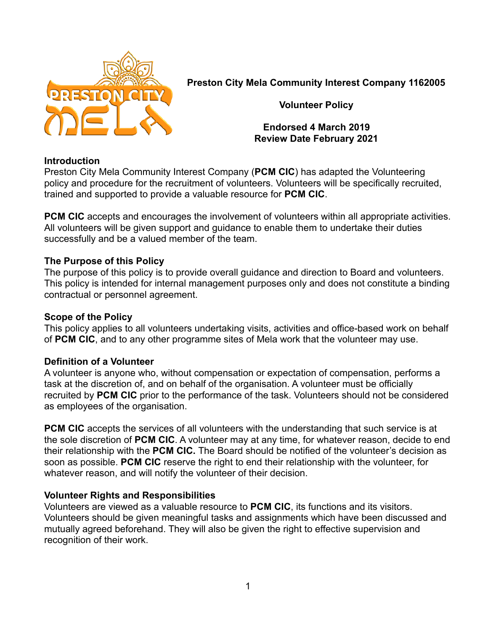

**Preston City Mela Community Interest Company 1162005**

**Volunteer Policy**

**Endorsed 4 March 2019 Review Date February 2021**

# **Introduction**

Preston City Mela Community Interest Company (**PCM CIC**) has adapted the Volunteering policy and procedure for the recruitment of volunteers. Volunteers will be specifically recruited, trained and supported to provide a valuable resource for **PCM CIC**.

**PCM CIC** accepts and encourages the involvement of volunteers within all appropriate activities. All volunteers will be given support and guidance to enable them to undertake their duties successfully and be a valued member of the team.

# **The Purpose of this Policy**

The purpose of this policy is to provide overall guidance and direction to Board and volunteers. This policy is intended for internal management purposes only and does not constitute a binding contractual or personnel agreement.

# **Scope of the Policy**

This policy applies to all volunteers undertaking visits, activities and office-based work on behalf of **PCM CIC**, and to any other programme sites of Mela work that the volunteer may use.

# **Definition of a Volunteer**

A volunteer is anyone who, without compensation or expectation of compensation, performs a task at the discretion of, and on behalf of the organisation. A volunteer must be officially recruited by **PCM CIC** prior to the performance of the task. Volunteers should not be considered as employees of the organisation.

**PCM CIC** accepts the services of all volunteers with the understanding that such service is at the sole discretion of **PCM CIC**. A volunteer may at any time, for whatever reason, decide to end their relationship with the **PCM CIC.** The Board should be notified of the volunteer's decision as soon as possible. **PCM CIC** reserve the right to end their relationship with the volunteer, for whatever reason, and will notify the volunteer of their decision.

# **Volunteer Rights and Responsibilities**

Volunteers are viewed as a valuable resource to **PCM CIC**, its functions and its visitors. Volunteers should be given meaningful tasks and assignments which have been discussed and mutually agreed beforehand. They will also be given the right to effective supervision and recognition of their work.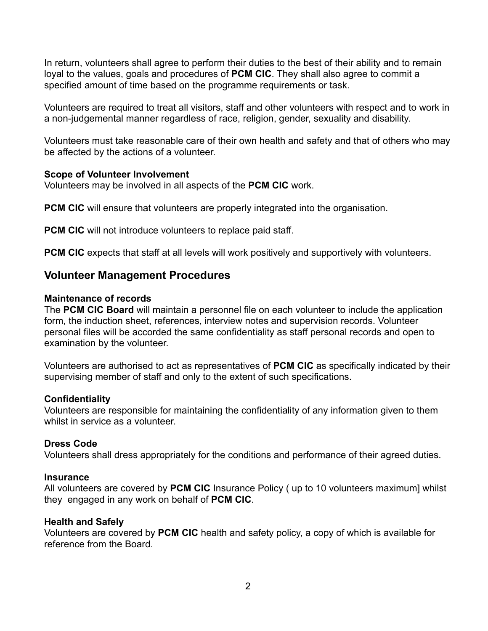In return, volunteers shall agree to perform their duties to the best of their ability and to remain loyal to the values, goals and procedures of **PCM CIC**. They shall also agree to commit a specified amount of time based on the programme requirements or task.

Volunteers are required to treat all visitors, staff and other volunteers with respect and to work in a non-judgemental manner regardless of race, religion, gender, sexuality and disability.

Volunteers must take reasonable care of their own health and safety and that of others who may be affected by the actions of a volunteer.

# **Scope of Volunteer Involvement**

Volunteers may be involved in all aspects of the **PCM CIC** work.

**PCM CIC** will ensure that volunteers are properly integrated into the organisation.

**PCM CIC** will not introduce volunteers to replace paid staff.

**PCM CIC** expects that staff at all levels will work positively and supportively with volunteers.

# **Volunteer Management Procedures**

# **Maintenance of records**

The **PCM CIC Board** will maintain a personnel file on each volunteer to include the application form, the induction sheet, references, interview notes and supervision records. Volunteer personal files will be accorded the same confidentiality as staff personal records and open to examination by the volunteer.

Volunteers are authorised to act as representatives of **PCM CIC** as specifically indicated by their supervising member of staff and only to the extent of such specifications.

# **Confidentiality**

Volunteers are responsible for maintaining the confidentiality of any information given to them whilst in service as a volunteer.

# **Dress Code**

Volunteers shall dress appropriately for the conditions and performance of their agreed duties.

# **Insurance**

All volunteers are covered by **PCM CIC** Insurance Policy ( up to 10 volunteers maximum] whilst they engaged in any work on behalf of **PCM CIC**.

# **Health and Safely**

Volunteers are covered by **PCM CIC** health and safety policy, a copy of which is available for reference from the Board.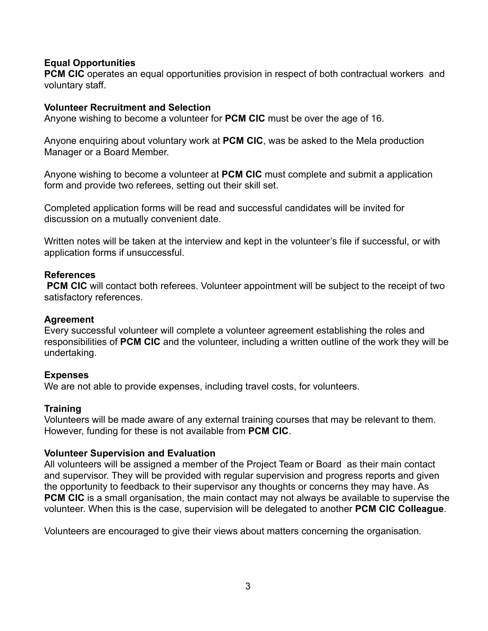# **Equal Opportunities**

**PCM CIC** operates an equal opportunities provision in respect of both contractual workers and voluntary staff.

### **Volunteer Recruitment and Selection**

Anyone wishing to become a volunteer for **PCM CIC** must be over the age of 16.

Anyone enquiring about voluntary work at **PCM CIC**, was be asked to the Mela production Manager or a Board Member.

Anyone wishing to become a volunteer at **PCM CIC** must complete and submit a application form and provide two referees, setting out their skill set.

Completed application forms will be read and successful candidates will be invited for discussion on a mutually convenient date.

Written notes will be taken at the interview and kept in the volunteer's file if successful, or with application forms if unsuccessful.

#### **References**

**PCM CIC** will contact both referees. Volunteer appointment will be subject to the receipt of two satisfactory references.

### **Agreement**

Every successful volunteer will complete a volunteer agreement establishing the roles and responsibilities of **PCM CIC** and the volunteer, including a written outline of the work they will be undertaking.

# **Expenses**

We are not able to provide expenses, including travel costs, for volunteers.

#### **Training**

Volunteers will be made aware of any external training courses that may be relevant to them. However, funding for these is not available from **PCM CIC**.

# **Volunteer Supervision and Evaluation**

All volunteers will be assigned a member of the Project Team or Board as their main contact and supervisor. They will be provided with regular supervision and progress reports and given the opportunity to feedback to their supervisor any thoughts or concerns they may have. As **PCM CIC** is a small organisation, the main contact may not always be available to supervise the volunteer. When this is the case, supervision will be delegated to another **PCM CIC Colleague**.

Volunteers are encouraged to give their views about matters concerning the organisation.